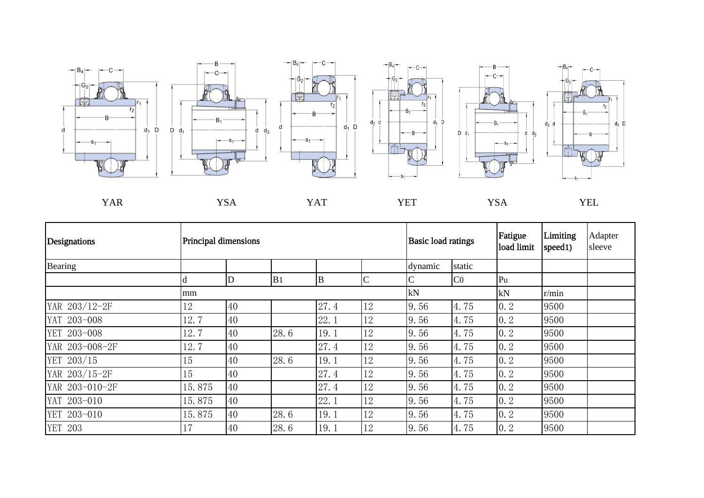

YAR

YSA YAT YET YSA

YSA YEL

| Designations   |        | Principal dimensions |                |      |              |             | Fatigue<br><b>Basic load ratings</b><br>load limit |     | Limiting<br>speed <sub>1</sub> ) | Adapter<br>sleeve |
|----------------|--------|----------------------|----------------|------|--------------|-------------|----------------------------------------------------|-----|----------------------------------|-------------------|
| Bearing        |        |                      |                |      |              | dynamic     | static                                             |     |                                  |                   |
|                |        | D                    | B <sub>1</sub> | B    | $\mathsf{C}$ | $\mathbf C$ | C <sub>0</sub>                                     | Pu  |                                  |                   |
|                | mm     |                      |                |      |              | kN          |                                                    | kN  | r/min                            |                   |
| YAR 203/12-2F  | 12     | 40                   |                | 27.4 | 12           | 9.56        | 4.75                                               | 0.2 | 9500                             |                   |
| YAT 203-008    | 12.7   | 40                   |                | 22.1 | 12           | 9.56        | 4.75                                               | 0.2 | 9500                             |                   |
| YET 203-008    | 12.7   | 40                   | 28.6           | 19.1 | 12           | 9.56        | 4.75                                               | 0.2 | 9500                             |                   |
| YAR 203-008-2F | 12.7   | 40                   |                | 27.4 | 12           | 9.56        | 4.75                                               | 0.2 | 9500                             |                   |
| YET 203/15     | 15     | 40                   | 28.6           | 19.1 | 12           | 9.56        | 4.75                                               | 0.2 | 9500                             |                   |
| YAR 203/15-2F  | 15     | 40                   |                | 27.4 | 12           | 9.56        | 4.75                                               | 0.2 | 9500                             |                   |
| YAR 203-010-2F | 15.875 | 40                   |                | 27.4 | 12           | 9.56        | 4.75                                               | 0.2 | 9500                             |                   |
| YAT 203-010    | 15.875 | 40                   |                | 22.1 | 12           | 9.56        | 4.75                                               | 0.2 | 9500                             |                   |
| YET 203-010    | 15.875 | 40                   | 28.6           | 19.1 | 12           | 9.56        | 4.75                                               | 0.2 | 9500                             |                   |
| YET 203        | 17     | 40                   | 28.6           | 19.1 | 12           | 9.56        | 4.75                                               | 0.2 | 9500                             |                   |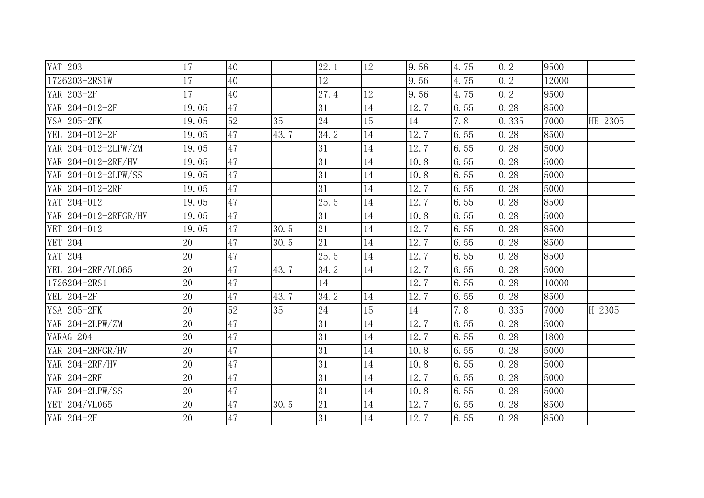| YAT 203              | 17    | 40 |      | 22.1 | 12 | 9.56 | 4.75 | 0.2   | 9500  |         |
|----------------------|-------|----|------|------|----|------|------|-------|-------|---------|
| 1726203-2RS1W        | 17    | 40 |      | 12   |    | 9.56 | 4.75 | 0.2   | 12000 |         |
| YAR 203-2F           | 17    | 40 |      | 27.4 | 12 | 9.56 | 4.75 | 0.2   | 9500  |         |
| YAR 204-012-2F       | 19.05 | 47 |      | 31   | 14 | 12.7 | 6.55 | 0.28  | 8500  |         |
| YSA 205-2FK          | 19.05 | 52 | 35   | 24   | 15 | 14   | 7.8  | 0.335 | 7000  | HE 2305 |
| YEL 204-012-2F       | 19.05 | 47 | 43.7 | 34.2 | 14 | 12.7 | 6.55 | 0.28  | 8500  |         |
| YAR 204-012-2LPW/ZM  | 19.05 | 47 |      | 31   | 14 | 12.7 | 6.55 | 0.28  | 5000  |         |
| YAR 204-012-2RF/HV   | 19.05 | 47 |      | 31   | 14 | 10.8 | 6.55 | 0.28  | 5000  |         |
| YAR 204-012-2LPW/SS  | 19.05 | 47 |      | 31   | 14 | 10.8 | 6.55 | 0.28  | 5000  |         |
| YAR 204-012-2RF      | 19.05 | 47 |      | 31   | 14 | 12.7 | 6.55 | 0.28  | 5000  |         |
| YAT 204-012          | 19.05 | 47 |      | 25.5 | 14 | 12.7 | 6.55 | 0.28  | 8500  |         |
| YAR 204-012-2RFGR/HV | 19.05 | 47 |      | 31   | 14 | 10.8 | 6.55 | 0.28  | 5000  |         |
| YET 204-012          | 19.05 | 47 | 30.5 | 21   | 14 | 12.7 | 6.55 | 0.28  | 8500  |         |
| YET 204              | 20    | 47 | 30.5 | 21   | 14 | 12.7 | 6.55 | 0.28  | 8500  |         |
| YAT 204              | 20    | 47 |      | 25.5 | 14 | 12.7 | 6.55 | 0.28  | 8500  |         |
| YEL 204-2RF/VL065    | 20    | 47 | 43.7 | 34.2 | 14 | 12.7 | 6.55 | 0.28  | 5000  |         |
| 1726204-2RS1         | 20    | 47 |      | 14   |    | 12.7 | 6.55 | 0.28  | 10000 |         |
| YEL 204-2F           | 20    | 47 | 43.7 | 34.2 | 14 | 12.7 | 6.55 | 0.28  | 8500  |         |
| YSA 205-2FK          | 20    | 52 | 35   | 24   | 15 | 14   | 7.8  | 0.335 | 7000  | H 2305  |
| YAR 204-2LPW/ZM      | 20    | 47 |      | 31   | 14 | 12.7 | 6.55 | 0.28  | 5000  |         |
| YARAG 204            | 20    | 47 |      | 31   | 14 | 12.7 | 6.55 | 0.28  | 1800  |         |
| YAR 204-2RFGR/HV     | 20    | 47 |      | 31   | 14 | 10.8 | 6.55 | 0.28  | 5000  |         |
| $YAR$ 204-2RF/HV     | 20    | 47 |      | 31   | 14 | 10.8 | 6.55 | 0.28  | 5000  |         |
| YAR 204-2RF          | 20    | 47 |      | 31   | 14 | 12.7 | 6.55 | 0.28  | 5000  |         |
| YAR 204-2LPW/SS      | 20    | 47 |      | 31   | 14 | 10.8 | 6.55 | 0.28  | 5000  |         |
| YET 204/VL065        | 20    | 47 | 30.5 | 21   | 14 | 12.7 | 6.55 | 0.28  | 8500  |         |
| YAR 204-2F           | 20    | 47 |      | 31   | 14 | 12.7 | 6.55 | 0.28  | 8500  |         |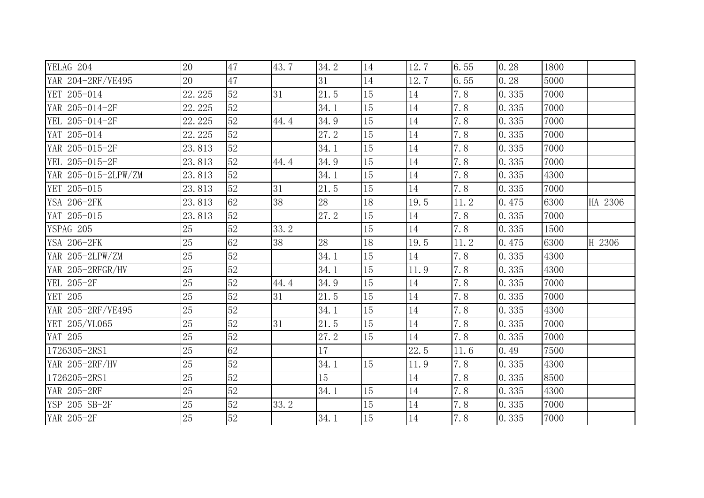| YELAG 204           | 20     | 47     | 43.7 | 34.2 | 14 | 12.7 | 6.55 | 0.28  | 1800 |         |
|---------------------|--------|--------|------|------|----|------|------|-------|------|---------|
| YAR 204-2RF/VE495   | 20     | 47     |      | 31   | 14 | 12.7 | 6.55 | 0.28  | 5000 |         |
| YET 205-014         | 22.225 | 52     | 31   | 21.5 | 15 | 14   | 7.8  | 0.335 | 7000 |         |
| YAR 205-014-2F      | 22.225 | 52     |      | 34.1 | 15 | 14   | 7.8  | 0.335 | 7000 |         |
| YEL 205-014-2F      | 22.225 | 52     | 44.4 | 34.9 | 15 | 14   | 7.8  | 0.335 | 7000 |         |
| YAT 205-014         | 22.225 | 52     |      | 27.2 | 15 | 14   | 7.8  | 0.335 | 7000 |         |
| YAR 205-015-2F      | 23.813 | 52     |      | 34.1 | 15 | 14   | 7.8  | 0.335 | 7000 |         |
| YEL 205-015-2F      | 23.813 | 52     | 44.4 | 34.9 | 15 | 14   | 7.8  | 0.335 | 7000 |         |
| YAR 205-015-2LPW/ZM | 23.813 | 52     |      | 34.1 | 15 | 14   | 7.8  | 0.335 | 4300 |         |
| YET 205-015         | 23.813 | 52     | 31   | 21.5 | 15 | 14   | 7.8  | 0.335 | 7000 |         |
| YSA 206-2FK         | 23.813 | 62     | 38   | 28   | 18 | 19.5 | 11.2 | 0.475 | 6300 | HA 2306 |
| YAT 205-015         | 23.813 | 52     |      | 27.2 | 15 | 14   | 7.8  | 0.335 | 7000 |         |
| YSPAG 205           | 25     | 52     | 33.2 |      | 15 | 14   | 7.8  | 0.335 | 1500 |         |
| YSA 206-2FK         | 25     | 62     | 38   | 28   | 18 | 19.5 | 11.2 | 0.475 | 6300 | H 2306  |
| YAR 205-2LPW/ZM     | 25     | 52     |      | 34.1 | 15 | 14   | 7.8  | 0.335 | 4300 |         |
| YAR 205-2RFGR/HV    | 25     | 52     |      | 34.1 | 15 | 11.9 | 7.8  | 0.335 | 4300 |         |
| YEL 205-2F          | 25     | 52     | 44.4 | 34.9 | 15 | 14   | 7.8  | 0.335 | 7000 |         |
| YET 205             | 25     | 52     | 31   | 21.5 | 15 | 14   | 7.8  | 0.335 | 7000 |         |
| YAR 205-2RF/VE495   | 25     | 52     |      | 34.1 | 15 | 14   | 7.8  | 0.335 | 4300 |         |
| YET 205/VL065       | 25     | 52     | 31   | 21.5 | 15 | 14   | 7.8  | 0.335 | 7000 |         |
| YAT 205             | 25     | 52     |      | 27.2 | 15 | 14   | 7.8  | 0.335 | 7000 |         |
| 1726305-2RS1        | 25     | 62     |      | 17   |    | 22.5 | 11.6 | 0.49  | 7500 |         |
| YAR 205-2RF/HV      | 25     | 52     |      | 34.1 | 15 | 11.9 | 7.8  | 0.335 | 4300 |         |
| 1726205-2RS1        | 25     | 52     |      | 15   |    | 14   | 7.8  | 0.335 | 8500 |         |
| YAR 205-2RF         | 25     | 52     |      | 34.1 | 15 | 14   | 7.8  | 0.335 | 4300 |         |
| YSP 205 SB-2F       | 25     | $52\,$ | 33.2 |      | 15 | 14   | 7.8  | 0.335 | 7000 |         |
| YAR 205-2F          | 25     | 52     |      | 34.1 | 15 | 14   | 7.8  | 0.335 | 7000 |         |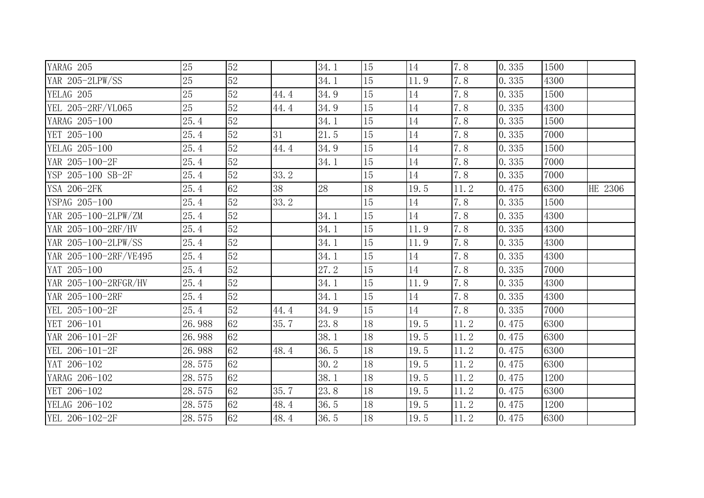| YARAG 205             | 25     | 52 |      | 34.1 | 15 | 14   | 7.8  | 0.335 | 1500 |         |
|-----------------------|--------|----|------|------|----|------|------|-------|------|---------|
| YAR 205-2LPW/SS       | 25     | 52 |      | 34.1 | 15 | 11.9 | 7.8  | 0.335 | 4300 |         |
| YELAG 205             | 25     | 52 | 44.4 | 34.9 | 15 | 14   | 7.8  | 0.335 | 1500 |         |
| YEL 205-2RF/VL065     | 25     | 52 | 44.4 | 34.9 | 15 | 14   | 7.8  | 0.335 | 4300 |         |
| YARAG 205-100         | 25.4   | 52 |      | 34.1 | 15 | 14   | 7.8  | 0.335 | 1500 |         |
| YET 205-100           | 25.4   | 52 | 31   | 21.5 | 15 | 14   | 7.8  | 0.335 | 7000 |         |
| YELAG 205-100         | 25.4   | 52 | 44.4 | 34.9 | 15 | 14   | 7.8  | 0.335 | 1500 |         |
| YAR 205-100-2F        | 25.4   | 52 |      | 34.1 | 15 | 14   | 7.8  | 0.335 | 7000 |         |
| YSP 205-100 SB-2F     | 25.4   | 52 | 33.2 |      | 15 | 14   | 7.8  | 0.335 | 7000 |         |
| YSA 206-2FK           | 25.4   | 62 | 38   | 28   | 18 | 19.5 | 11.2 | 0.475 | 6300 | HE 2306 |
| YSPAG 205-100         | 25.4   | 52 | 33.2 |      | 15 | 14   | 7.8  | 0.335 | 1500 |         |
| YAR 205-100-2LPW/ZM   | 25.4   | 52 |      | 34.1 | 15 | 14   | 7.8  | 0.335 | 4300 |         |
| YAR 205-100-2RF/HV    | 25.4   | 52 |      | 34.1 | 15 | 11.9 | 7.8  | 0.335 | 4300 |         |
| YAR 205-100-2LPW/SS   | 25.4   | 52 |      | 34.1 | 15 | 11.9 | 7.8  | 0.335 | 4300 |         |
| YAR 205-100-2RF/VE495 | 25.4   | 52 |      | 34.1 | 15 | 14   | 7.8  | 0.335 | 4300 |         |
| YAT 205-100           | 25.4   | 52 |      | 27.2 | 15 | 14   | 7.8  | 0.335 | 7000 |         |
| YAR 205-100-2RFGR/HV  | 25.4   | 52 |      | 34.1 | 15 | 11.9 | 7.8  | 0.335 | 4300 |         |
| YAR 205-100-2RF       | 25.4   | 52 |      | 34.1 | 15 | 14   | 7.8  | 0.335 | 4300 |         |
| YEL 205-100-2F        | 25.4   | 52 | 44.4 | 34.9 | 15 | 14   | 7.8  | 0.335 | 7000 |         |
| YET 206-101           | 26.988 | 62 | 35.7 | 23.8 | 18 | 19.5 | 11.2 | 0.475 | 6300 |         |
| YAR 206-101-2F        | 26.988 | 62 |      | 38.1 | 18 | 19.5 | 11.2 | 0.475 | 6300 |         |
| YEL 206-101-2F        | 26.988 | 62 | 48.4 | 36.5 | 18 | 19.5 | 11.2 | 0.475 | 6300 |         |
| YAT 206-102           | 28.575 | 62 |      | 30.2 | 18 | 19.5 | 11.2 | 0.475 | 6300 |         |
| YARAG 206-102         | 28.575 | 62 |      | 38.1 | 18 | 19.5 | 11.2 | 0.475 | 1200 |         |
| YET 206-102           | 28.575 | 62 | 35.7 | 23.8 | 18 | 19.5 | 11.2 | 0.475 | 6300 |         |
| YELAG 206-102         | 28.575 | 62 | 48.4 | 36.5 | 18 | 19.5 | 11.2 | 0.475 | 1200 |         |
| YEL 206-102-2F        | 28.575 | 62 | 48.4 | 36.5 | 18 | 19.5 | 11.2 | 0.475 | 6300 |         |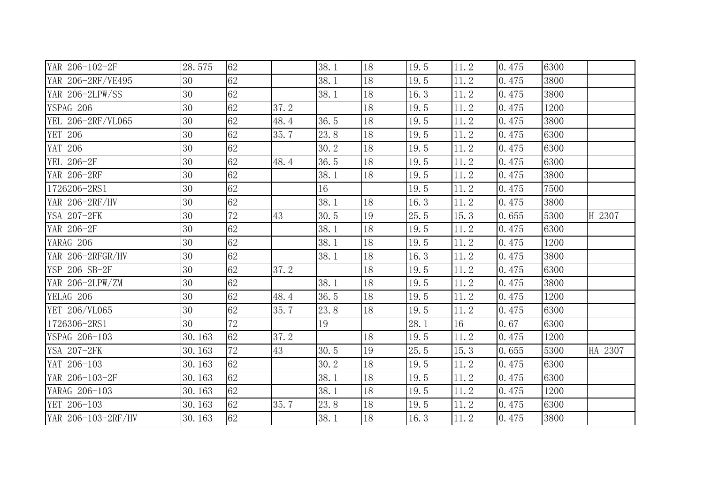| YAR 206-102-2F     | 28.575 | 62 |      | 38.1 | 18 | 19.5 | 11.2 | 0.475 | 6300 |         |
|--------------------|--------|----|------|------|----|------|------|-------|------|---------|
| YAR 206-2RF/VE495  | 30     | 62 |      | 38.1 | 18 | 19.5 | 11.2 | 0.475 | 3800 |         |
| YAR 206-2LPW/SS    | 30     | 62 |      | 38.1 | 18 | 16.3 | 11.2 | 0.475 | 3800 |         |
| YSPAG 206          | 30     | 62 | 37.2 |      | 18 | 19.5 | 11.2 | 0.475 | 1200 |         |
| YEL 206-2RF/VL065  | 30     | 62 | 48.4 | 36.5 | 18 | 19.5 | 11.2 | 0.475 | 3800 |         |
| YET 206            | 30     | 62 | 35.7 | 23.8 | 18 | 19.5 | 11.2 | 0.475 | 6300 |         |
| YAT 206            | 30     | 62 |      | 30.2 | 18 | 19.5 | 11.2 | 0.475 | 6300 |         |
| YEL 206-2F         | 30     | 62 | 48.4 | 36.5 | 18 | 19.5 | 11.2 | 0.475 | 6300 |         |
| YAR 206-2RF        | 30     | 62 |      | 38.1 | 18 | 19.5 | 11.2 | 0.475 | 3800 |         |
| 1726206-2RS1       | 30     | 62 |      | 16   |    | 19.5 | 11.2 | 0.475 | 7500 |         |
| YAR 206-2RF/HV     | 30     | 62 |      | 38.1 | 18 | 16.3 | 11.2 | 0.475 | 3800 |         |
| YSA 207-2FK        | 30     | 72 | 43   | 30.5 | 19 | 25.5 | 15.3 | 0.655 | 5300 | H 2307  |
| YAR 206-2F         | 30     | 62 |      | 38.1 | 18 | 19.5 | 11.2 | 0.475 | 6300 |         |
| YARAG 206          | 30     | 62 |      | 38.1 | 18 | 19.5 | 11.2 | 0.475 | 1200 |         |
| YAR 206-2RFGR/HV   | 30     | 62 |      | 38.1 | 18 | 16.3 | 11.2 | 0.475 | 3800 |         |
| YSP 206 SB-2F      | 30     | 62 | 37.2 |      | 18 | 19.5 | 11.2 | 0.475 | 6300 |         |
| YAR 206-2LPW/ZM    | 30     | 62 |      | 38.1 | 18 | 19.5 | 11.2 | 0.475 | 3800 |         |
| YELAG 206          | 30     | 62 | 48.4 | 36.5 | 18 | 19.5 | 11.2 | 0.475 | 1200 |         |
| YET 206/VL065      | 30     | 62 | 35.7 | 23.8 | 18 | 19.5 | 11.2 | 0.475 | 6300 |         |
| 1726306-2RS1       | 30     | 72 |      | 19   |    | 28.1 | 16   | 0.67  | 6300 |         |
| YSPAG 206-103      | 30.163 | 62 | 37.2 |      | 18 | 19.5 | 11.2 | 0.475 | 1200 |         |
| YSA 207-2FK        | 30.163 | 72 | 43   | 30.5 | 19 | 25.5 | 15.3 | 0.655 | 5300 | HA 2307 |
| YAT 206-103        | 30.163 | 62 |      | 30.2 | 18 | 19.5 | 11.2 | 0.475 | 6300 |         |
| YAR 206-103-2F     | 30.163 | 62 |      | 38.1 | 18 | 19.5 | 11.2 | 0.475 | 6300 |         |
| YARAG 206-103      | 30.163 | 62 |      | 38.1 | 18 | 19.5 | 11.2 | 0.475 | 1200 |         |
| YET 206-103        | 30.163 | 62 | 35.7 | 23.8 | 18 | 19.5 | 11.2 | 0.475 | 6300 |         |
| YAR 206-103-2RF/HV | 30.163 | 62 |      | 38.1 | 18 | 16.3 | 11.2 | 0.475 | 3800 |         |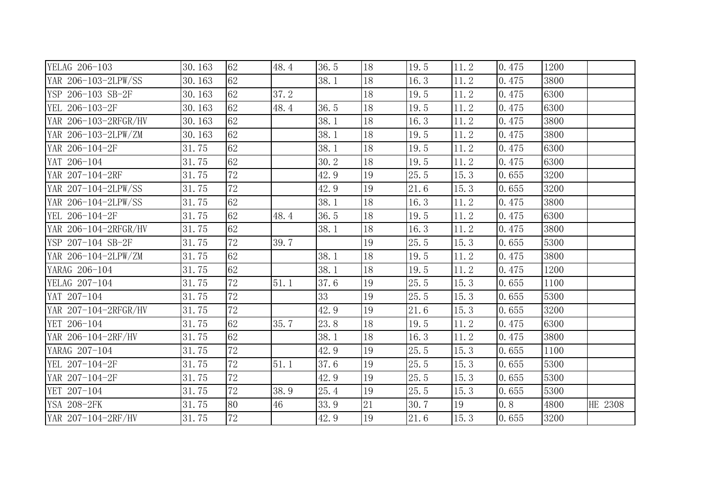| YELAG 206-103        | 30.163 | 62 | 48.4 | 36.5 | 18 | 19.5 | 11.2 | 0.475 | 1200 |         |
|----------------------|--------|----|------|------|----|------|------|-------|------|---------|
| YAR 206-103-2LPW/SS  | 30.163 | 62 |      | 38.1 | 18 | 16.3 | 11.2 | 0.475 | 3800 |         |
| YSP 206-103 SB-2F    | 30.163 | 62 | 37.2 |      | 18 | 19.5 | 11.2 | 0.475 | 6300 |         |
| YEL 206-103-2F       | 30.163 | 62 | 48.4 | 36.5 | 18 | 19.5 | 11.2 | 0.475 | 6300 |         |
| YAR 206-103-2RFGR/HV | 30.163 | 62 |      | 38.1 | 18 | 16.3 | 11.2 | 0.475 | 3800 |         |
| YAR 206-103-2LPW/ZM  | 30.163 | 62 |      | 38.1 | 18 | 19.5 | 11.2 | 0.475 | 3800 |         |
| YAR 206-104-2F       | 31.75  | 62 |      | 38.1 | 18 | 19.5 | 11.2 | 0.475 | 6300 |         |
| YAT 206-104          | 31.75  | 62 |      | 30.2 | 18 | 19.5 | 11.2 | 0.475 | 6300 |         |
| YAR 207-104-2RF      | 31.75  | 72 |      | 42.9 | 19 | 25.5 | 15.3 | 0.655 | 3200 |         |
| YAR 207-104-2LPW/SS  | 31.75  | 72 |      | 42.9 | 19 | 21.6 | 15.3 | 0.655 | 3200 |         |
| YAR 206-104-2LPW/SS  | 31.75  | 62 |      | 38.1 | 18 | 16.3 | 11.2 | 0.475 | 3800 |         |
| YEL 206-104-2F       | 31.75  | 62 | 48.4 | 36.5 | 18 | 19.5 | 11.2 | 0.475 | 6300 |         |
| YAR 206-104-2RFGR/HV | 31.75  | 62 |      | 38.1 | 18 | 16.3 | 11.2 | 0.475 | 3800 |         |
| YSP 207-104 SB-2F    | 31.75  | 72 | 39.7 |      | 19 | 25.5 | 15.3 | 0.655 | 5300 |         |
| YAR 206-104-2LPW/ZM  | 31.75  | 62 |      | 38.1 | 18 | 19.5 | 11.2 | 0.475 | 3800 |         |
| YARAG 206-104        | 31.75  | 62 |      | 38.1 | 18 | 19.5 | 11.2 | 0.475 | 1200 |         |
| YELAG 207-104        | 31.75  | 72 | 51.1 | 37.6 | 19 | 25.5 | 15.3 | 0.655 | 1100 |         |
| YAT 207-104          | 31.75  | 72 |      | 33   | 19 | 25.5 | 15.3 | 0.655 | 5300 |         |
| YAR 207-104-2RFGR/HV | 31.75  | 72 |      | 42.9 | 19 | 21.6 | 15.3 | 0.655 | 3200 |         |
| YET 206-104          | 31.75  | 62 | 35.7 | 23.8 | 18 | 19.5 | 11.2 | 0.475 | 6300 |         |
| YAR 206-104-2RF/HV   | 31.75  | 62 |      | 38.1 | 18 | 16.3 | 11.2 | 0.475 | 3800 |         |
| YARAG 207-104        | 31.75  | 72 |      | 42.9 | 19 | 25.5 | 15.3 | 0.655 | 1100 |         |
| YEL 207-104-2F       | 31.75  | 72 | 51.1 | 37.6 | 19 | 25.5 | 15.3 | 0.655 | 5300 |         |
| YAR 207-104-2F       | 31.75  | 72 |      | 42.9 | 19 | 25.5 | 15.3 | 0.655 | 5300 |         |
| YET 207-104          | 31.75  | 72 | 38.9 | 25.4 | 19 | 25.5 | 15.3 | 0.655 | 5300 |         |
| YSA 208-2FK          | 31.75  | 80 | 46   | 33.9 | 21 | 30.7 | 19   | 0.8   | 4800 | HE 2308 |
| YAR 207-104-2RF/HV   | 31.75  | 72 |      | 42.9 | 19 | 21.6 | 15.3 | 0.655 | 3200 |         |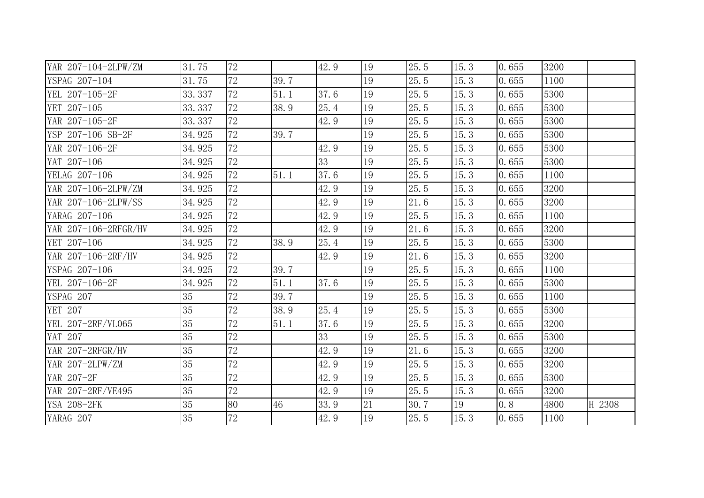| YAR 207-104-2LPW/ZM  | 31.75  | 72 |      | 42.9 | 19 | 25.5 | 15.3 | 0.655 | 3200 |        |
|----------------------|--------|----|------|------|----|------|------|-------|------|--------|
| YSPAG 207-104        | 31.75  | 72 | 39.7 |      | 19 | 25.5 | 15.3 | 0.655 | 1100 |        |
| YEL 207-105-2F       | 33.337 | 72 | 51.1 | 37.6 | 19 | 25.5 | 15.3 | 0.655 | 5300 |        |
| YET 207-105          | 33.337 | 72 | 38.9 | 25.4 | 19 | 25.5 | 15.3 | 0.655 | 5300 |        |
| YAR 207-105-2F       | 33.337 | 72 |      | 42.9 | 19 | 25.5 | 15.3 | 0.655 | 5300 |        |
| YSP 207-106 SB-2F    | 34.925 | 72 | 39.7 |      | 19 | 25.5 | 15.3 | 0.655 | 5300 |        |
| YAR 207-106-2F       | 34.925 | 72 |      | 42.9 | 19 | 25.5 | 15.3 | 0.655 | 5300 |        |
| YAT 207-106          | 34.925 | 72 |      | 33   | 19 | 25.5 | 15.3 | 0.655 | 5300 |        |
| YELAG 207-106        | 34.925 | 72 | 51.1 | 37.6 | 19 | 25.5 | 15.3 | 0.655 | 1100 |        |
| YAR 207-106-2LPW/ZM  | 34.925 | 72 |      | 42.9 | 19 | 25.5 | 15.3 | 0.655 | 3200 |        |
| YAR 207-106-2LPW/SS  | 34.925 | 72 |      | 42.9 | 19 | 21.6 | 15.3 | 0.655 | 3200 |        |
| YARAG 207-106        | 34.925 | 72 |      | 42.9 | 19 | 25.5 | 15.3 | 0.655 | 1100 |        |
| YAR 207-106-2RFGR/HV | 34.925 | 72 |      | 42.9 | 19 | 21.6 | 15.3 | 0.655 | 3200 |        |
| YET 207-106          | 34.925 | 72 | 38.9 | 25.4 | 19 | 25.5 | 15.3 | 0.655 | 5300 |        |
| YAR 207-106-2RF/HV   | 34.925 | 72 |      | 42.9 | 19 | 21.6 | 15.3 | 0.655 | 3200 |        |
| YSPAG 207-106        | 34.925 | 72 | 39.7 |      | 19 | 25.5 | 15.3 | 0.655 | 1100 |        |
| YEL 207-106-2F       | 34.925 | 72 | 51.1 | 37.6 | 19 | 25.5 | 15.3 | 0.655 | 5300 |        |
| YSPAG 207            | 35     | 72 | 39.7 |      | 19 | 25.5 | 15.3 | 0.655 | 1100 |        |
| YET 207              | 35     | 72 | 38.9 | 25.4 | 19 | 25.5 | 15.3 | 0.655 | 5300 |        |
| YEL 207-2RF/VL065    | 35     | 72 | 51.1 | 37.6 | 19 | 25.5 | 15.3 | 0.655 | 3200 |        |
| YAT 207              | 35     | 72 |      | 33   | 19 | 25.5 | 15.3 | 0.655 | 5300 |        |
| YAR 207-2RFGR/HV     | 35     | 72 |      | 42.9 | 19 | 21.6 | 15.3 | 0.655 | 3200 |        |
| YAR 207-2LPW/ZM      | 35     | 72 |      | 42.9 | 19 | 25.5 | 15.3 | 0.655 | 3200 |        |
| YAR 207-2F           | 35     | 72 |      | 42.9 | 19 | 25.5 | 15.3 | 0.655 | 5300 |        |
| YAR 207-2RF/VE495    | 35     | 72 |      | 42.9 | 19 | 25.5 | 15.3 | 0.655 | 3200 |        |
| YSA 208-2FK          | 35     | 80 | 46   | 33.9 | 21 | 30.7 | 19   | 0.8   | 4800 | H 2308 |
| YARAG 207            | 35     | 72 |      | 42.9 | 19 | 25.5 | 15.3 | 0.655 | 1100 |        |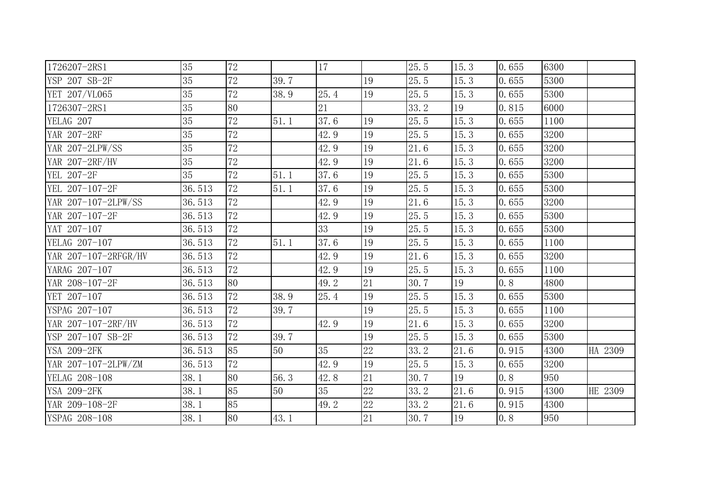| 1726207-2RS1         | 35     | 72     |      | 17   |    | 25.5 | 15.3 | 0.655 | 6300 |         |
|----------------------|--------|--------|------|------|----|------|------|-------|------|---------|
| YSP 207 SB-2F        | 35     | 72     | 39.7 |      | 19 | 25.5 | 15.3 | 0.655 | 5300 |         |
| YET 207/VL065        | 35     | 72     | 38.9 | 25.4 | 19 | 25.5 | 15.3 | 0.655 | 5300 |         |
| 1726307-2RS1         | 35     | 80     |      | 21   |    | 33.2 | 19   | 0.815 | 6000 |         |
| YELAG 207            | 35     | 72     | 51.1 | 37.6 | 19 | 25.5 | 15.3 | 0.655 | 1100 |         |
| YAR 207-2RF          | 35     | 72     |      | 42.9 | 19 | 25.5 | 15.3 | 0.655 | 3200 |         |
| YAR 207-2LPW/SS      | 35     | 72     |      | 42.9 | 19 | 21.6 | 15.3 | 0.655 | 3200 |         |
| YAR 207-2RF/HV       | 35     | 72     |      | 42.9 | 19 | 21.6 | 15.3 | 0.655 | 3200 |         |
| YEL 207-2F           | 35     | 72     | 51.1 | 37.6 | 19 | 25.5 | 15.3 | 0.655 | 5300 |         |
| YEL 207-107-2F       | 36.513 | 72     | 51.1 | 37.6 | 19 | 25.5 | 15.3 | 0.655 | 5300 |         |
| YAR 207-107-2LPW/SS  | 36.513 | 72     |      | 42.9 | 19 | 21.6 | 15.3 | 0.655 | 3200 |         |
| YAR 207-107-2F       | 36.513 | 72     |      | 42.9 | 19 | 25.5 | 15.3 | 0.655 | 5300 |         |
| YAT 207-107          | 36.513 | 72     |      | 33   | 19 | 25.5 | 15.3 | 0.655 | 5300 |         |
| YELAG 207-107        | 36.513 | 72     | 51.1 | 37.6 | 19 | 25.5 | 15.3 | 0.655 | 1100 |         |
| YAR 207-107-2RFGR/HV | 36.513 | 72     |      | 42.9 | 19 | 21.6 | 15.3 | 0.655 | 3200 |         |
| YARAG 207-107        | 36.513 | 72     |      | 42.9 | 19 | 25.5 | 15.3 | 0.655 | 1100 |         |
| YAR 208-107-2F       | 36.513 | 80     |      | 49.2 | 21 | 30.7 | 19   | 0.8   | 4800 |         |
| YET 207-107          | 36.513 | 72     | 38.9 | 25.4 | 19 | 25.5 | 15.3 | 0.655 | 5300 |         |
| YSPAG 207-107        | 36.513 | 72     | 39.7 |      | 19 | 25.5 | 15.3 | 0.655 | 1100 |         |
| YAR 207-107-2RF/HV   | 36.513 | 72     |      | 42.9 | 19 | 21.6 | 15.3 | 0.655 | 3200 |         |
| YSP 207-107 SB-2F    | 36.513 | $72\,$ | 39.7 |      | 19 | 25.5 | 15.3 | 0.655 | 5300 |         |
| YSA 209-2FK          | 36.513 | 85     | 50   | 35   | 22 | 33.2 | 21.6 | 0.915 | 4300 | HA 2309 |
| YAR 207-107-2LPW/ZM  | 36.513 | 72     |      | 42.9 | 19 | 25.5 | 15.3 | 0.655 | 3200 |         |
| YELAG 208-108        | 38.1   | 80     | 56.3 | 42.8 | 21 | 30.7 | 19   | 0.8   | 950  |         |
| YSA 209-2FK          | 38.1   | 85     | 50   | 35   | 22 | 33.2 | 21.6 | 0.915 | 4300 | HE 2309 |
| YAR 209-108-2F       | 38.1   | 85     |      | 49.2 | 22 | 33.2 | 21.6 | 0.915 | 4300 |         |
| YSPAG 208-108        | 38.1   | 80     | 43.1 |      | 21 | 30.7 | 19   | 0.8   | 950  |         |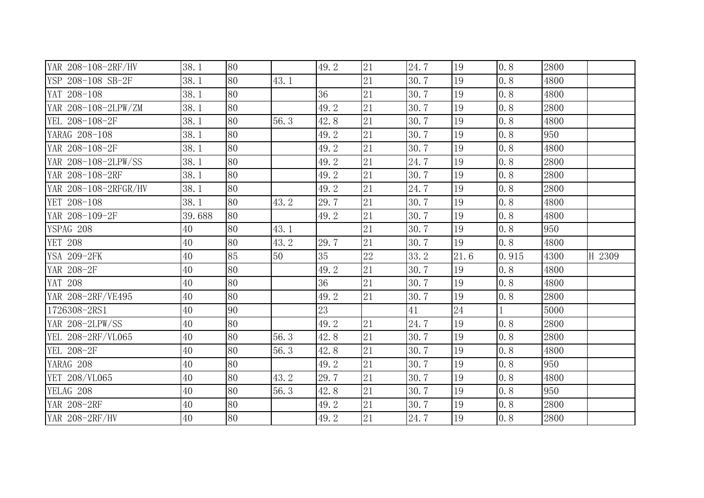| YAR 208-108-2RF/HV   | 38.1   | 80 |      | 49.2 | 21 | 24.7 | 19   | 0.8   | 2800 |        |
|----------------------|--------|----|------|------|----|------|------|-------|------|--------|
| YSP 208-108 SB-2F    | 38.1   | 80 | 43.1 |      | 21 | 30.7 | 19   | 0.8   | 4800 |        |
| YAT 208-108          | 38.1   | 80 |      | 36   | 21 | 30.7 | 19   | 0.8   | 4800 |        |
| YAR 208-108-2LPW/ZM  | 38.1   | 80 |      | 49.2 | 21 | 30.7 | 19   | 0.8   | 2800 |        |
| YEL 208-108-2F       | 38.1   | 80 | 56.3 | 42.8 | 21 | 30.7 | 19   | 0.8   | 4800 |        |
| YARAG 208-108        | 38.1   | 80 |      | 49.2 | 21 | 30.7 | 19   | 0.8   | 950  |        |
| YAR 208-108-2F       | 38.1   | 80 |      | 49.2 | 21 | 30.7 | 19   | 0.8   | 4800 |        |
| YAR 208-108-2LPW/SS  | 38.1   | 80 |      | 49.2 | 21 | 24.7 | 19   | 0.8   | 2800 |        |
| YAR 208-108-2RF      | 38.1   | 80 |      | 49.2 | 21 | 30.7 | 19   | 0.8   | 2800 |        |
| YAR 208-108-2RFGR/HV | 38.1   | 80 |      | 49.2 | 21 | 24.7 | 19   | 0.8   | 2800 |        |
| YET 208-108          | 38.1   | 80 | 43.2 | 29.7 | 21 | 30.7 | 19   | 0.8   | 4800 |        |
| YAR 208-109-2F       | 39.688 | 80 |      | 49.2 | 21 | 30.7 | 19   | 0.8   | 4800 |        |
| YSPAG 208            | 40     | 80 | 43.1 |      | 21 | 30.7 | 19   | 0.8   | 950  |        |
| <b>YET 208</b>       | 40     | 80 | 43.2 | 29.7 | 21 | 30.7 | 19   | 0.8   | 4800 |        |
| YSA 209-2FK          | 40     | 85 | 50   | 35   | 22 | 33.2 | 21.6 | 0.915 | 4300 | H 2309 |
| YAR 208-2F           | 40     | 80 |      | 49.2 | 21 | 30.7 | 19   | 0.8   | 4800 |        |
| YAT 208              | 40     | 80 |      | 36   | 21 | 30.7 | 19   | 0.8   | 4800 |        |
| YAR 208-2RF/VE495    | 40     | 80 |      | 49.2 | 21 | 30.7 | 19   | 0.8   | 2800 |        |
| 1726308-2RS1         | 40     | 90 |      | 23   |    | 41   | 24   |       | 5000 |        |
| YAR 208-2LPW/SS      | 40     | 80 |      | 49.2 | 21 | 24.7 | 19   | 0.8   | 2800 |        |
| YEL 208-2RF/VL065    | 40     | 80 | 56.3 | 42.8 | 21 | 30.7 | 19   | 0.8   | 2800 |        |
| YEL 208-2F           | 40     | 80 | 56.3 | 42.8 | 21 | 30.7 | 19   | 0.8   | 4800 |        |
| YARAG 208            | 40     | 80 |      | 49.2 | 21 | 30.7 | 19   | 0.8   | 950  |        |
| YET 208/VL065        | 40     | 80 | 43.2 | 29.7 | 21 | 30.7 | 19   | 0.8   | 4800 |        |
| YELAG 208            | 40     | 80 | 56.3 | 42.8 | 21 | 30.7 | 19   | 0.8   | 950  |        |
| YAR 208-2RF          | 40     | 80 |      | 49.2 | 21 | 30.7 | 19   | 0.8   | 2800 |        |
| YAR 208-2RF/HV       | 40     | 80 |      | 49.2 | 21 | 24.7 | 19   | 0.8   | 2800 |        |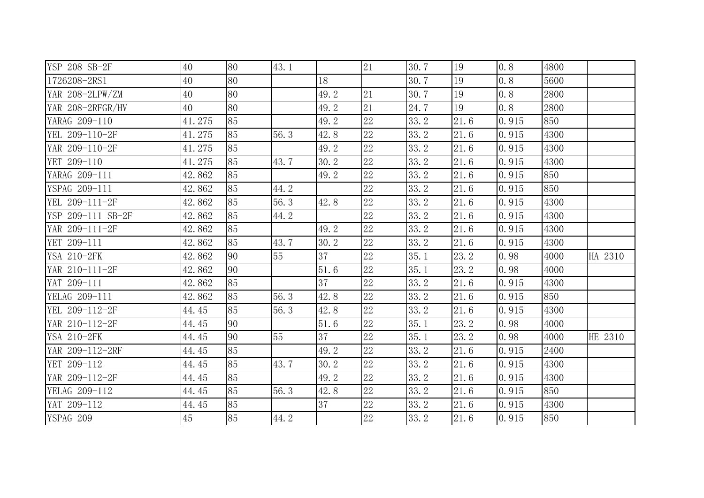| YSP 208 SB-2F     | 40     | 80 | 43.1 |      | 21     | 30.7 | 19   | 0.8   | 4800 |         |
|-------------------|--------|----|------|------|--------|------|------|-------|------|---------|
| 1726208-2RS1      | 40     | 80 |      | 18   |        | 30.7 | 19   | 0.8   | 5600 |         |
| YAR 208-2LPW/ZM   | 40     | 80 |      | 49.2 | 21     | 30.7 | 19   | 0.8   | 2800 |         |
| YAR 208-2RFGR/HV  | 40     | 80 |      | 49.2 | 21     | 24.7 | 19   | 0.8   | 2800 |         |
| YARAG 209-110     | 41.275 | 85 |      | 49.2 | 22     | 33.2 | 21.6 | 0.915 | 850  |         |
| YEL 209-110-2F    | 41.275 | 85 | 56.3 | 42.8 | 22     | 33.2 | 21.6 | 0.915 | 4300 |         |
| YAR 209-110-2F    | 41.275 | 85 |      | 49.2 | 22     | 33.2 | 21.6 | 0.915 | 4300 |         |
| YET 209-110       | 41.275 | 85 | 43.7 | 30.2 | 22     | 33.2 | 21.6 | 0.915 | 4300 |         |
| YARAG 209-111     | 42.862 | 85 |      | 49.2 | 22     | 33.2 | 21.6 | 0.915 | 850  |         |
| YSPAG 209-111     | 42.862 | 85 | 44.2 |      | 22     | 33.2 | 21.6 | 0.915 | 850  |         |
| YEL 209-111-2F    | 42.862 | 85 | 56.3 | 42.8 | 22     | 33.2 | 21.6 | 0.915 | 4300 |         |
| YSP 209-111 SB-2F | 42.862 | 85 | 44.2 |      | 22     | 33.2 | 21.6 | 0.915 | 4300 |         |
| YAR 209-111-2F    | 42.862 | 85 |      | 49.2 | 22     | 33.2 | 21.6 | 0.915 | 4300 |         |
| YET 209-111       | 42.862 | 85 | 43.7 | 30.2 | 22     | 33.2 | 21.6 | 0.915 | 4300 |         |
| YSA 210-2FK       | 42.862 | 90 | 55   | 37   | 22     | 35.1 | 23.2 | 0.98  | 4000 | HA 2310 |
| YAR 210-111-2F    | 42.862 | 90 |      | 51.6 | 22     | 35.1 | 23.2 | 0.98  | 4000 |         |
| YAT 209-111       | 42.862 | 85 |      | 37   | 22     | 33.2 | 21.6 | 0.915 | 4300 |         |
| YELAG 209-111     | 42.862 | 85 | 56.3 | 42.8 | 22     | 33.2 | 21.6 | 0.915 | 850  |         |
| YEL 209-112-2F    | 44.45  | 85 | 56.3 | 42.8 | 22     | 33.2 | 21.6 | 0.915 | 4300 |         |
| YAR 210-112-2F    | 44.45  | 90 |      | 51.6 | 22     | 35.1 | 23.2 | 0.98  | 4000 |         |
| YSA 210-2FK       | 44.45  | 90 | 55   | 37   | 22     | 35.1 | 23.2 | 0.98  | 4000 | HE 2310 |
| YAR 209-112-2RF   | 44.45  | 85 |      | 49.2 | 22     | 33.2 | 21.6 | 0.915 | 2400 |         |
| YET 209-112       | 44.45  | 85 | 43.7 | 30.2 | 22     | 33.2 | 21.6 | 0.915 | 4300 |         |
| YAR 209-112-2F    | 44.45  | 85 |      | 49.2 | 22     | 33.2 | 21.6 | 0.915 | 4300 |         |
| YELAG 209-112     | 44.45  | 85 | 56.3 | 42.8 | 22     | 33.2 | 21.6 | 0.915 | 850  |         |
| YAT 209-112       | 44.45  | 85 |      | 37   | $22\,$ | 33.2 | 21.6 | 0.915 | 4300 |         |
| YSPAG 209         | 45     | 85 | 44.2 |      | 22     | 33.2 | 21.6 | 0.915 | 850  |         |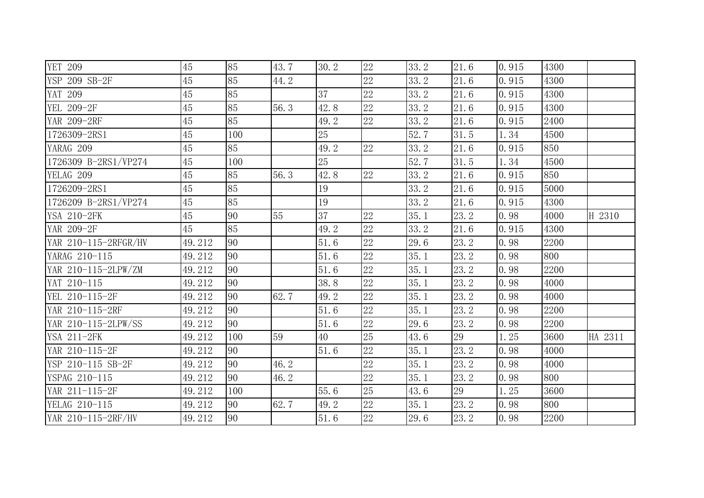| YET 209              | 45     | 85  | 43.7 | 30.2 | 22     | 33.2 | 21.6 | 0.915 | 4300 |         |
|----------------------|--------|-----|------|------|--------|------|------|-------|------|---------|
| YSP 209 SB-2F        | 45     | 85  | 44.2 |      | $22\,$ | 33.2 | 21.6 | 0.915 | 4300 |         |
| YAT 209              | 45     | 85  |      | 37   | 22     | 33.2 | 21.6 | 0.915 | 4300 |         |
| YEL 209-2F           | 45     | 85  | 56.3 | 42.8 | 22     | 33.2 | 21.6 | 0.915 | 4300 |         |
| YAR 209-2RF          | 45     | 85  |      | 49.2 | 22     | 33.2 | 21.6 | 0.915 | 2400 |         |
| 1726309-2RS1         | 45     | 100 |      | 25   |        | 52.7 | 31.5 | 1.34  | 4500 |         |
| YARAG 209            | 45     | 85  |      | 49.2 | 22     | 33.2 | 21.6 | 0.915 | 850  |         |
| 1726309 B-2RS1/VP274 | 45     | 100 |      | 25   |        | 52.7 | 31.5 | 1.34  | 4500 |         |
| YELAG 209            | 45     | 85  | 56.3 | 42.8 | 22     | 33.2 | 21.6 | 0.915 | 850  |         |
| 1726209-2RS1         | 45     | 85  |      | 19   |        | 33.2 | 21.6 | 0.915 | 5000 |         |
| 1726209 B-2RS1/VP274 | 45     | 85  |      | 19   |        | 33.2 | 21.6 | 0.915 | 4300 |         |
| YSA 210-2FK          | 45     | 90  | 55   | 37   | 22     | 35.1 | 23.2 | 0.98  | 4000 | H 2310  |
| YAR 209-2F           | 45     | 85  |      | 49.2 | 22     | 33.2 | 21.6 | 0.915 | 4300 |         |
| YAR 210-115-2RFGR/HV | 49.212 | 90  |      | 51.6 | 22     | 29.6 | 23.2 | 0.98  | 2200 |         |
| YARAG 210-115        | 49.212 | 90  |      | 51.6 | 22     | 35.1 | 23.2 | 0.98  | 800  |         |
| YAR 210-115-2LPW/ZM  | 49.212 | 90  |      | 51.6 | 22     | 35.1 | 23.2 | 0.98  | 2200 |         |
| YAT 210-115          | 49.212 | 90  |      | 38.8 | 22     | 35.1 | 23.2 | 0.98  | 4000 |         |
| YEL 210-115-2F       | 49.212 | 90  | 62.7 | 49.2 | 22     | 35.1 | 23.2 | 0.98  | 4000 |         |
| YAR 210-115-2RF      | 49.212 | 90  |      | 51.6 | 22     | 35.1 | 23.2 | 0.98  | 2200 |         |
| YAR 210-115-2LPW/SS  | 49.212 | 90  |      | 51.6 | 22     | 29.6 | 23.2 | 0.98  | 2200 |         |
| YSA 211-2FK          | 49.212 | 100 | 59   | 40   | 25     | 43.6 | 29   | 1.25  | 3600 | HA 2311 |
| YAR 210-115-2F       | 49.212 | 90  |      | 51.6 | 22     | 35.1 | 23.2 | 0.98  | 4000 |         |
| YSP 210-115 SB-2F    | 49.212 | 90  | 46.2 |      | 22     | 35.1 | 23.2 | 0.98  | 4000 |         |
| YSPAG 210-115        | 49.212 | 90  | 46.2 |      | 22     | 35.1 | 23.2 | 0.98  | 800  |         |
| YAR 211-115-2F       | 49.212 | 100 |      | 55.6 | 25     | 43.6 | 29   | 1.25  | 3600 |         |
| YELAG 210-115        | 49.212 | 90  | 62.7 | 49.2 | 22     | 35.1 | 23.2 | 0.98  | 800  |         |
| YAR 210-115-2RF/HV   | 49.212 | 90  |      | 51.6 | 22     | 29.6 | 23.2 | 0.98  | 2200 |         |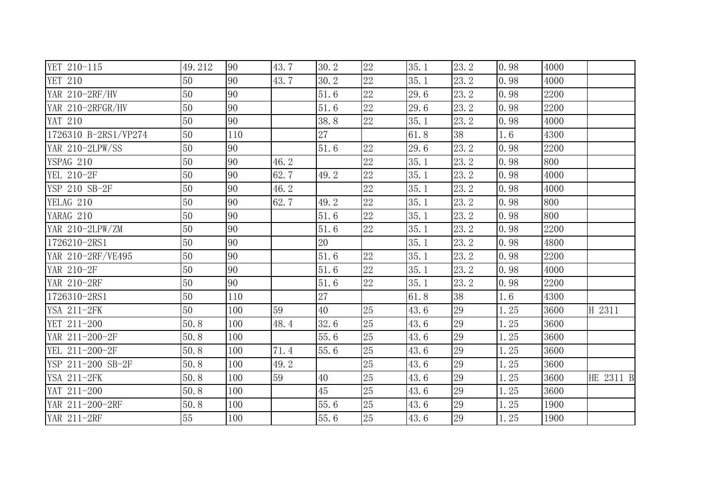| YET 210-115          | 49.212 | 90  | 43.7 | 30.2 | 22              | 35.1 | 23.2 | 0.98 | 4000 |           |
|----------------------|--------|-----|------|------|-----------------|------|------|------|------|-----------|
| YET 210              | 50     | 90  | 43.7 | 30.2 | 22              | 35.1 | 23.2 | 0.98 | 4000 |           |
| YAR 210-2RF/HV       | 50     | 90  |      | 51.6 | 22              | 29.6 | 23.2 | 0.98 | 2200 |           |
| YAR 210-2RFGR/HV     | 50     | 90  |      | 51.6 | 22              | 29.6 | 23.2 | 0.98 | 2200 |           |
| YAT 210              | 50     | 90  |      | 38.8 | 22              | 35.1 | 23.2 | 0.98 | 4000 |           |
| 1726310 B-2RS1/VP274 | 50     | 110 |      | 27   |                 | 61.8 | 38   | 1.6  | 4300 |           |
| YAR 210-2LPW/SS      | 50     | 90  |      | 51.6 | 22              | 29.6 | 23.2 | 0.98 | 2200 |           |
| YSPAG 210            | 50     | 90  | 46.2 |      | 22              | 35.1 | 23.2 | 0.98 | 800  |           |
| YEL 210-2F           | 50     | 90  | 62.7 | 49.2 | 22              | 35.1 | 23.2 | 0.98 | 4000 |           |
| YSP 210 SB-2F        | 50     | 90  | 46.2 |      | 22              | 35.1 | 23.2 | 0.98 | 4000 |           |
| YELAG 210            | 50     | 90  | 62.7 | 49.2 | $\overline{22}$ | 35.1 | 23.2 | 0.98 | 800  |           |
| YARAG 210            | 50     | 90  |      | 51.6 | 22              | 35.1 | 23.2 | 0.98 | 800  |           |
| YAR 210-2LPW/ZM      | 50     | 90  |      | 51.6 | 22              | 35.1 | 23.2 | 0.98 | 2200 |           |
| 1726210-2RS1         | 50     | 90  |      | 20   |                 | 35.1 | 23.2 | 0.98 | 4800 |           |
| YAR 210-2RF/VE495    | 50     | 90  |      | 51.6 | 22              | 35.1 | 23.2 | 0.98 | 2200 |           |
| YAR 210-2F           | 50     | 90  |      | 51.6 | 22              | 35.1 | 23.2 | 0.98 | 4000 |           |
| YAR 210-2RF          | 50     | 90  |      | 51.6 | 22              | 35.1 | 23.2 | 0.98 | 2200 |           |
| 1726310-2RS1         | 50     | 110 |      | 27   |                 | 61.8 | 38   | 1.6  | 4300 |           |
| YSA 211-2FK          | 50     | 100 | 59   | 40   | 25              | 43.6 | 29   | 1.25 | 3600 | H 2311    |
| YET 211-200          | 50.8   | 100 | 48.4 | 32.6 | 25              | 43.6 | 29   | 1.25 | 3600 |           |
| YAR 211-200-2F       | 50.8   | 100 |      | 55.6 | 25              | 43.6 | 29   | 1.25 | 3600 |           |
| YEL 211-200-2F       | 50.8   | 100 | 71.4 | 55.6 | 25              | 43.6 | 29   | 1.25 | 3600 |           |
| YSP 211-200 SB-2F    | 50.8   | 100 | 49.2 |      | 25              | 43.6 | 29   | 1.25 | 3600 |           |
| YSA 211-2FK          | 50.8   | 100 | 59   | 40   | 25              | 43.6 | 29   | 1.25 | 3600 | HE 2311 B |
| YAT 211-200          | 50.8   | 100 |      | 45   | 25              | 43.6 | 29   | 1.25 | 3600 |           |
| YAR 211-200-2RF      | 50.8   | 100 |      | 55.6 | 25              | 43.6 | 29   | 25   | 1900 |           |
| YAR 211-2RF          | 55     | 100 |      | 55.6 | 25              | 43.6 | 29   | 1.25 | 1900 |           |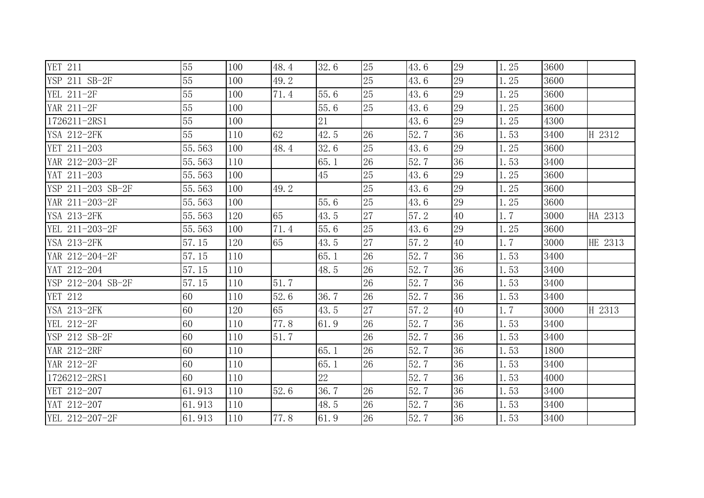| YET 211            | 55     | 100 | 48.4 | 32.6   | 25 | 43.6 | 29 | 1.25 | 3600 |         |
|--------------------|--------|-----|------|--------|----|------|----|------|------|---------|
| YSP 211 SB-2F      | 55     | 100 | 49.2 |        | 25 | 43.6 | 29 | 1.25 | 3600 |         |
| YEL 211-2F         | 55     | 100 | 71.4 | 55.6   | 25 | 43.6 | 29 | 1.25 | 3600 |         |
| YAR 211-2F         | 55     | 100 |      | 55.6   | 25 | 43.6 | 29 | 1.25 | 3600 |         |
| 1726211-2RS1       | 55     | 100 |      | 21     |    | 43.6 | 29 | 1.25 | 4300 |         |
| YSA 212-2FK        | 55     | 110 | 62   | 42.5   | 26 | 52.7 | 36 | 1.53 | 3400 | H 2312  |
| YET 211-203        | 55.563 | 100 | 48.4 | 32.6   | 25 | 43.6 | 29 | 1.25 | 3600 |         |
| YAR 212-203-2F     | 55.563 | 110 |      | 65.1   | 26 | 52.7 | 36 | 1.53 | 3400 |         |
| YAT 211-203        | 55.563 | 100 |      | 45     | 25 | 43.6 | 29 | 1.25 | 3600 |         |
| YSP 211-203 SB-2F  | 55.563 | 100 | 49.2 |        | 25 | 43.6 | 29 | 1.25 | 3600 |         |
| YAR 211-203-2F     | 55.563 | 100 |      | 55.6   | 25 | 43.6 | 29 | 1.25 | 3600 |         |
| YSA 213-2FK        | 55.563 | 120 | 65   | 43.5   | 27 | 57.2 | 40 | 1.7  | 3000 | HA 2313 |
| YEL 211-203-2F     | 55.563 | 100 | 71.4 | 55.6   | 25 | 43.6 | 29 | 1.25 | 3600 |         |
| <b>YSA 213-2FK</b> | 57.15  | 120 | 65   | 43.5   | 27 | 57.2 | 40 | 1.7  | 3000 | HE 2313 |
| YAR 212-204-2F     | 57.15  | 110 |      | 65.1   | 26 | 52.7 | 36 | 1.53 | 3400 |         |
| YAT 212-204        | 57.15  | 110 |      | 48.5   | 26 | 52.7 | 36 | 1.53 | 3400 |         |
| YSP 212-204 SB-2F  | 57.15  | 110 | 51.7 |        | 26 | 52.7 | 36 | 1.53 | 3400 |         |
| YET 212            | 60     | 110 | 52.6 | 36.7   | 26 | 52.7 | 36 | 1.53 | 3400 |         |
| <b>YSA 213-2FK</b> | 60     | 120 | 65   | 43.5   | 27 | 57.2 | 40 | 1.7  | 3000 | H 2313  |
| YEL 212-2F         | 60     | 110 | 77.8 | 61.9   | 26 | 52.7 | 36 | 1.53 | 3400 |         |
| YSP 212 SB-2F      | 60     | 110 | 51.7 |        | 26 | 52.7 | 36 | 1.53 | 3400 |         |
| YAR 212-2RF        | 60     | 110 |      | 65.1   | 26 | 52.7 | 36 | 1.53 | 1800 |         |
| YAR 212-2F         | 60     | 110 |      | 65.1   | 26 | 52.7 | 36 | 1.53 | 3400 |         |
| 1726212-2RS1       | 60     | 110 |      | $22\,$ |    | 52.7 | 36 | 1.53 | 4000 |         |
| YET 212-207        | 61.913 | 110 | 52.6 | 36.7   | 26 | 52.7 | 36 | 1.53 | 3400 |         |
| YAT 212-207        | 61.913 | 110 |      | 48.5   | 26 | 52.7 | 36 | 1.53 | 3400 |         |
| YEL 212-207-2F     | 61.913 | 110 | 77.8 | 61.9   | 26 | 52.7 | 36 | 1.53 | 3400 |         |